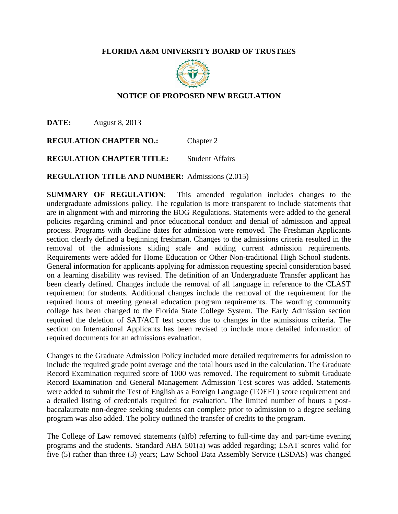## **FLORIDA A&M UNIVERSITY BOARD OF TRUSTEES**



# **NOTICE OF PROPOSED NEW REGULATION**

**DATE:** August 8, 2013

**REGULATION CHAPTER NO.:** Chapter 2

**REGULATION CHAPTER TITLE:** Student Affairs

**REGULATION TITLE AND NUMBER:** Admissions (2.015)

**SUMMARY OF REGULATION**: This amended regulation includes changes to the undergraduate admissions policy. The regulation is more transparent to include statements that are in alignment with and mirroring the BOG Regulations. Statements were added to the general policies regarding criminal and prior educational conduct and denial of admission and appeal process. Programs with deadline dates for admission were removed. The Freshman Applicants section clearly defined a beginning freshman. Changes to the admissions criteria resulted in the removal of the admissions sliding scale and adding current admission requirements. Requirements were added for Home Education or Other Non-traditional High School students. General information for applicants applying for admission requesting special consideration based on a learning disability was revised. The definition of an Undergraduate Transfer applicant has been clearly defined. Changes include the removal of all language in reference to the CLAST requirement for students. Additional changes include the removal of the requirement for the required hours of meeting general education program requirements. The wording community college has been changed to the Florida State College System. The Early Admission section required the deletion of SAT/ACT test scores due to changes in the admissions criteria. The section on International Applicants has been revised to include more detailed information of required documents for an admissions evaluation.

Changes to the Graduate Admission Policy included more detailed requirements for admission to include the required grade point average and the total hours used in the calculation. The Graduate Record Examination required score of 1000 was removed. The requirement to submit Graduate Record Examination and General Management Admission Test scores was added. Statements were added to submit the Test of English as a Foreign Language (TOEFL) score requirement and a detailed listing of credentials required for evaluation. The limited number of hours a postbaccalaureate non-degree seeking students can complete prior to admission to a degree seeking program was also added. The policy outlined the transfer of credits to the program.

The College of Law removed statements (a)(b) referring to full-time day and part-time evening programs and the students. Standard ABA 501(a) was added regarding; LSAT scores valid for five (5) rather than three (3) years; Law School Data Assembly Service (LSDAS) was changed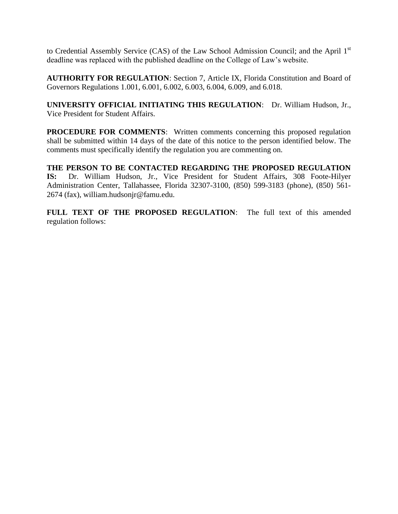to Credential Assembly Service (CAS) of the Law School Admission Council; and the April 1<sup>st</sup> deadline was replaced with the published deadline on the College of Law's website.

**AUTHORITY FOR REGULATION**: Section 7, Article IX, Florida Constitution and Board of Governors Regulations 1.001, 6.001, 6.002, 6.003, 6.004, 6.009, and 6.018.

**UNIVERSITY OFFICIAL INITIATING THIS REGULATION**: Dr. William Hudson, Jr., Vice President for Student Affairs.

**PROCEDURE FOR COMMENTS:** Written comments concerning this proposed regulation shall be submitted within 14 days of the date of this notice to the person identified below. The comments must specifically identify the regulation you are commenting on.

**THE PERSON TO BE CONTACTED REGARDING THE PROPOSED REGULATION IS:** Dr. William Hudson, Jr., Vice President for Student Affairs, 308 Foote-Hilyer Administration Center, Tallahassee, Florida 32307-3100, (850) 599-3183 (phone), (850) 561- 2674 (fax), william.hudsonjr@famu.edu.

FULL TEXT OF THE PROPOSED REGULATION: The full text of this amended regulation follows: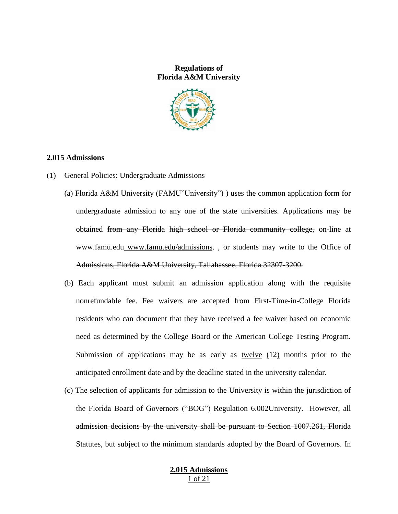### **Regulations of Florida A&M University**



### **2.015 Admissions**

- (1) General Policies: Undergraduate Admissions
	- (a) Florida A&M University  $(FAMU"University")$  +uses the common application form for undergraduate admission to any one of the state universities. Applications may be obtained from any Florida high school or Florida community college, on-line at www.famu.edu www.famu.edu/admissions. , or students may write to the Office of Admissions, Florida A&M University, Tallahassee, Florida 32307-3200.
	- (b) Each applicant must submit an admission application along with the requisite nonrefundable fee. Fee waivers are accepted from First-Time-in-College Florida residents who can document that they have received a fee waiver based on economic need as determined by the College Board or the American College Testing Program. Submission of applications may be as early as twelve (12) months prior to the anticipated enrollment date and by the deadline stated in the university calendar.
	- (c) The selection of applicants for admission to the University is within the jurisdiction of the Florida Board of Governors ("BOG") Regulation 6.002University. However, all admission decisions by the university shall be pursuant to Section 1007.261, Florida Statutes, but subject to the minimum standards adopted by the Board of Governors. In

### **2.015 Admissions** 1 of 21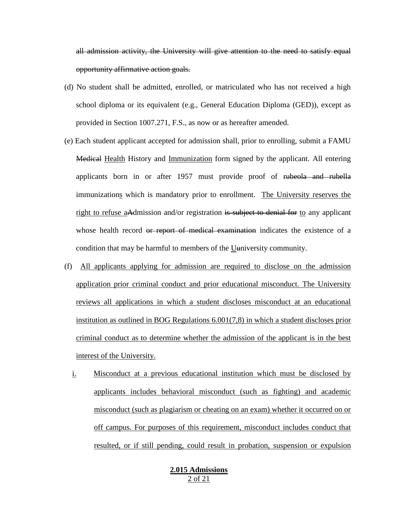all admission activity, the University will give attention to the need to satisfy equal opportunity affirmative action goals.

- (d) No student shall be admitted, enrolled, or matriculated who has not received a high school diploma or its equivalent (e.g., General Education Diploma (GED)), except as provided in Section 1007.271, F.S., as now or as hereafter amended.
- (e) Each student applicant accepted for admission shall, prior to enrolling, submit a FAMU Medical Health History and Immunization form signed by the applicant. All entering applicants born in or after 1957 must provide proof of rubeola and rubella immunizations which is mandatory prior to enrollment. The University reserves the right to refuse aAdmission and/or registration is subject to denial for to any applicant whose health record or report of medical examination indicates the existence of a condition that may be harmful to members of the Uuniversity community.
- (f) All applicants applying for admission are required to disclose on the admission application prior criminal conduct and prior educational misconduct. The University reviews all applications in which a student discloses misconduct at an educational institution as outlined in BOG Regulations 6.001(7,8) in which a student discloses prior criminal conduct as to determine whether the admission of the applicant is in the best interest of the University.
	- i. Misconduct at a previous educational institution which must be disclosed by applicants includes behavioral misconduct (such as fighting) and academic misconduct (such as plagiarism or cheating on an exam) whether it occurred on or off campus. For purposes of this requirement, misconduct includes conduct that resulted, or if still pending, could result in probation, suspension or expulsion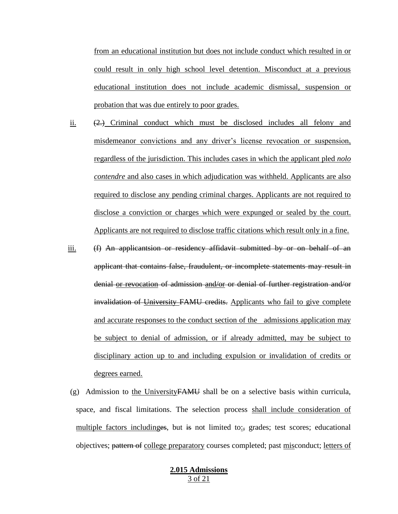from an educational institution but does not include conduct which resulted in or could result in only high school level detention. Misconduct at a previous educational institution does not include academic dismissal, suspension or probation that was due entirely to poor grades.

- ii.  $(2)$  Criminal conduct which must be disclosed includes all felony and misdemeanor convictions and any driver's license revocation or suspension, regardless of the jurisdiction. This includes cases in which the applicant pled *nolo contendre* and also cases in which adjudication was withheld. Applicants are also required to disclose any pending criminal charges. Applicants are not required to disclose a conviction or charges which were expunged or sealed by the court. Applicants are not required to disclose traffic citations which result only in a fine.
- iii. (f) An applicantsion or residency affidavit submitted by or on behalf of an applicant that contains false, fraudulent, or incomplete statements may result in denial or revocation of admission and/or or denial of further registration and/or invalidation of University FAMU credits. Applicants who fail to give complete and accurate responses to the conduct section of the admissions application may be subject to denial of admission, or if already admitted, may be subject to disciplinary action up to and including expulsion or invalidation of credits or degrees earned.
- (g) Admission to the UniversityFAMU shall be on a selective basis within curricula, space, and fiscal limitations. The selection process shall include consideration of multiple factors includinges, but is not limited to:, grades; test scores; educational objectives; pattern of college preparatory courses completed; past misconduct; letters of

### **2.015 Admissions** 3 of 21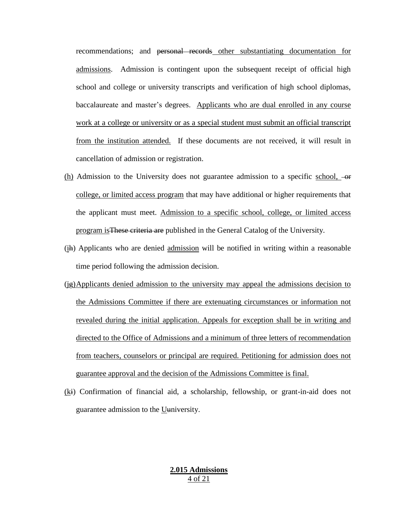recommendations; and personal records other substantiating documentation for admissions. Admission is contingent upon the subsequent receipt of official high school and college or university transcripts and verification of high school diplomas, baccalaureate and master's degrees. Applicants who are dual enrolled in any course work at a college or university or as a special student must submit an official transcript from the institution attended. If these documents are not received, it will result in cancellation of admission or registration.

- (h) Admission to the University does not guarantee admission to a specific school,  $-\sigma$ college, or limited access program that may have additional or higher requirements that the applicant must meet. Admission to a specific school, college, or limited access program isThese criteria are published in the General Catalog of the University.
- (ih) Applicants who are denied admission will be notified in writing within a reasonable time period following the admission decision.
- $(jg)$ Applicants denied admission to the university may appeal the admissions decision to the Admissions Committee if there are extenuating circumstances or information not revealed during the initial application. Appeals for exception shall be in writing and directed to the Office of Admissions and a minimum of three letters of recommendation from teachers, counselors or principal are required. Petitioning for admission does not guarantee approval and the decision of the Admissions Committee is final.
- (ki) Confirmation of financial aid, a scholarship, fellowship, or grant-in-aid does not guarantee admission to the  $U$ *university*.</u>

### **2.015 Admissions** 4 of 21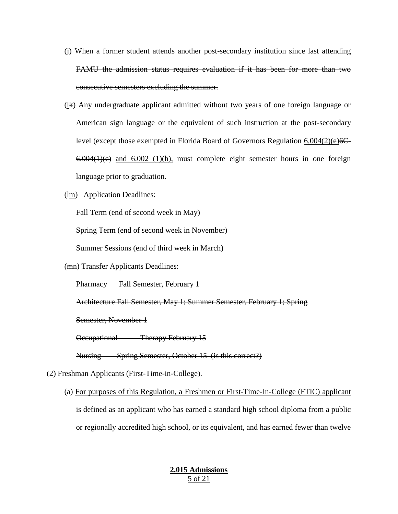- (j) When a former student attends another post-secondary institution since last attending FAMU the admission status requires evaluation if it has been for more than two consecutive semesters excluding the summer.
- (lk) Any undergraduate applicant admitted without two years of one foreign language or American sign language or the equivalent of such instruction at the post-secondary level (except those exempted in Florida Board of Governors Regulation 6.004(2)(e) 6C- $6.004(1)(e)$  and  $6.002$  (1)(h), must complete eight semester hours in one foreign language prior to graduation.
- (lm) Application Deadlines:

Fall Term (end of second week in May)

Spring Term (end of second week in November)

Summer Sessions (end of third week in March)

(mn) Transfer Applicants Deadlines:

Pharmacy Fall Semester, February 1

Architecture Fall Semester, May 1; Summer Semester, February 1; Spring

Semester, November 1

Occupational Therapy February 15

Nursing Spring Semester, October 15 (is this correct?)

- (2) Freshman Applicants (First-Time-in-College).
	- (a) For purposes of this Regulation, a Freshmen or First-Time-In-College (FTIC) applicant is defined as an applicant who has earned a standard high school diploma from a public or regionally accredited high school, or its equivalent, and has earned fewer than twelve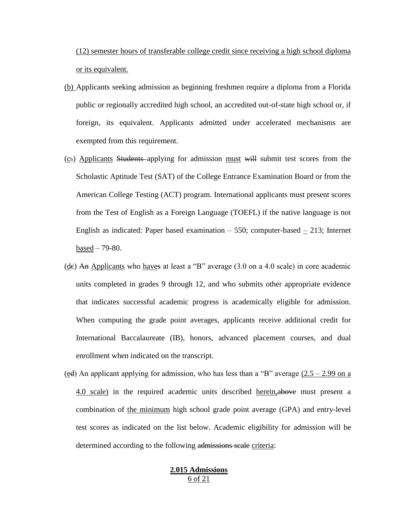(12) semester hours of transferable college credit since receiving a high school diploma or its equivalent.

- (b) Applicants seeking admission as beginning freshmen require a diploma from a Florida public or regionally accredited high school, an accredited out-of-state high school or, if foreign, its equivalent. Applicants admitted under accelerated mechanisms are exempted from this requirement.
- (cb) Applicants Students applying for admission must will submit test scores from the Scholastic Aptitude Test (SAT) of the College Entrance Examination Board or from the American College Testing (ACT) program. International applicants must present scores from the Test of English as a Foreign Language (TOEFL) if the native language is not English as indicated: Paper based examination  $-550$ ; computer-based  $-213$ ; Internet based – 79-80.
- (de) An Applicants who have at least a "B" average  $(3.0 \text{ on a } 4.0 \text{ scale})$  in core academic units completed in grades 9 through 12, and who submits other appropriate evidence that indicates successful academic progress is academically eligible for admission. When computing the grade point averages, applicants receive additional credit for International Baccalaureate (IB), honors, advanced placement courses, and dual enrollment when indicated on the transcript.
- (ed) An applicant applying for admission, who has less than a "B" average  $(2.5 2.99)$  on a 4.0 scale) in the required academic units described herein,above must present a combination of the minimum high school grade point average (GPA) and entry-level test scores as indicated on the list below. Academic eligibility for admission will be determined according to the following admissions scale criteria:

#### **2.015 Admissions** 6 of 21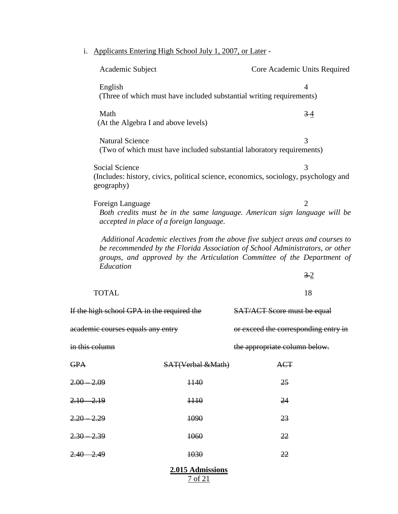i. Applicants Entering High School July 1, 2007, or Later -

| Academic Subject                            |                                          | Core Academic Units Required                                                                                                                                                                                                              |  |  |
|---------------------------------------------|------------------------------------------|-------------------------------------------------------------------------------------------------------------------------------------------------------------------------------------------------------------------------------------------|--|--|
| English                                     |                                          | $\overline{4}$<br>(Three of which must have included substantial writing requirements)                                                                                                                                                    |  |  |
| Math<br>(At the Algebra I and above levels) |                                          | 34                                                                                                                                                                                                                                        |  |  |
| <b>Natural Science</b>                      |                                          | 3<br>(Two of which must have included substantial laboratory requirements)                                                                                                                                                                |  |  |
| Social Science<br>geography)                |                                          | 3<br>(Includes: history, civics, political science, economics, sociology, psychology and                                                                                                                                                  |  |  |
| Foreign Language                            | accepted in place of a foreign language. | $\overline{2}$<br>Both credits must be in the same language. American sign language will be                                                                                                                                               |  |  |
| Education                                   |                                          | Additional Academic electives from the above five subject areas and courses to<br>be recommended by the Florida Association of School Administrators, or other<br>groups, and approved by the Articulation Committee of the Department of |  |  |
|                                             |                                          | $3-2$                                                                                                                                                                                                                                     |  |  |
| <b>TOTAL</b>                                |                                          | 18                                                                                                                                                                                                                                        |  |  |
| If the high school GPA in the required the  |                                          | <b>SAT/ACT Score must be equal</b>                                                                                                                                                                                                        |  |  |
| academic courses equals any entry           |                                          | or exceed the corresponding entry in                                                                                                                                                                                                      |  |  |
| <del>in this column</del>                   |                                          | the appropriate column below.                                                                                                                                                                                                             |  |  |
| GPA                                         | <b>SAT(Verbal &amp;Math)</b>             | <b>ACT</b>                                                                                                                                                                                                                                |  |  |
| 2.00 2.09                                   | $+140$                                   | 25                                                                                                                                                                                                                                        |  |  |
| $2.10 - 2.19$                               | 1110                                     | 24                                                                                                                                                                                                                                        |  |  |
| 2.20 2.29                                   | 1090                                     | 23                                                                                                                                                                                                                                        |  |  |
| $2.30 - 2.39$                               | 1060                                     | 22                                                                                                                                                                                                                                        |  |  |
| $2.40 - 2.49$                               | 1030                                     | 22                                                                                                                                                                                                                                        |  |  |
| 2.015 Admissions                            |                                          |                                                                                                                                                                                                                                           |  |  |

7 of 21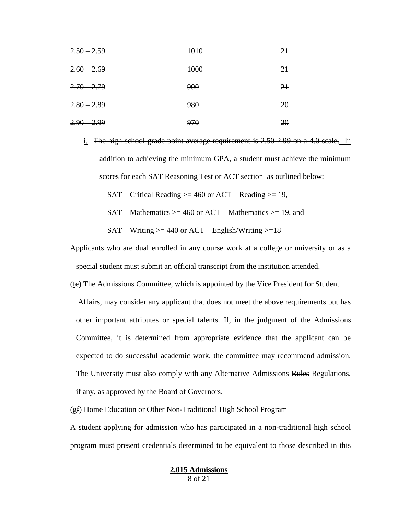| $2.50 - 2.59$ | 1010 | $2+$ |
|---------------|------|------|
| $2.60 - 2.69$ | 1000 | $2+$ |
| $2.70 - 2.79$ | 990  | $2+$ |
| $2.80 - 2.89$ | 980  | 20   |
| $2.90 - 2.99$ | 970  | 20   |

i. The high school grade point average requirement is 2.50-2.99 on a 4.0 scale. In addition to achieving the minimum GPA, a student must achieve the minimum scores for each SAT Reasoning Test or ACT section as outlined below: SAT – Critical Reading  $>= 460$  or ACT – Reading  $>= 19$ , SAT – Mathematics  $>= 460$  or ACT – Mathematics  $>= 19$ , and

 $SAT - Writing \geq 440$  or  $ACT - English/Writing \geq 18$ 

Applicants who are dual enrolled in any course work at a college or university or as a special student must submit an official transcript from the institution attended.

(fe) The Admissions Committee, which is appointed by the Vice President for Student Affairs, may consider any applicant that does not meet the above requirements but has other important attributes or special talents. If, in the judgment of the Admissions Committee, it is determined from appropriate evidence that the applicant can be expected to do successful academic work, the committee may recommend admission. The University must also comply with any Alternative Admissions Rules Regulations, if any, as approved by the Board of Governors.

(gf) Home Education or Other Non-Traditional High School Program

A student applying for admission who has participated in a non-traditional high school program must present credentials determined to be equivalent to those described in this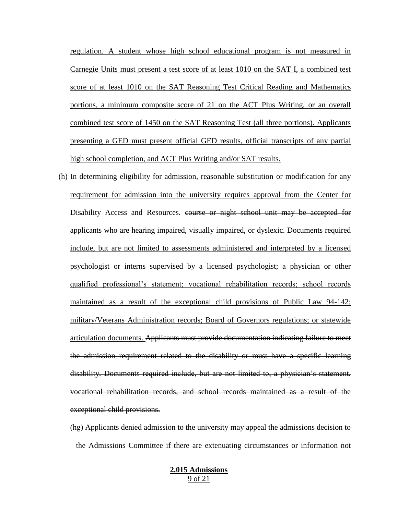regulation. A student whose high school educational program is not measured in Carnegie Units must present a test score of at least 1010 on the SAT I, a combined test score of at least 1010 on the SAT Reasoning Test Critical Reading and Mathematics portions, a minimum composite score of 21 on the ACT Plus Writing, or an overall combined test score of 1450 on the SAT Reasoning Test (all three portions). Applicants presenting a GED must present official GED results, official transcripts of any partial high school completion, and ACT Plus Writing and/or SAT results.

- (h) In determining eligibility for admission, reasonable substitution or modification for any requirement for admission into the university requires approval from the Center for Disability Access and Resources. course or night school unit may be accepted for applicants who are hearing impaired, visually impaired, or dyslexic. Documents required include, but are not limited to assessments administered and interpreted by a licensed psychologist or interns supervised by a licensed psychologist; a physician or other qualified professional's statement; vocational rehabilitation records; school records maintained as a result of the exceptional child provisions of Public Law 94-142; military/Veterans Administration records; Board of Governors regulations; or statewide articulation documents. Applicants must provide documentation indicating failure to meet the admission requirement related to the disability or must have a specific learning disability. Documents required include, but are not limited to, a physician's statement, vocational rehabilitation records, and school records maintained as a result of the exceptional child provisions.
	- (hg) Applicants denied admission to the university may appeal the admissions decision to the Admissions Committee if there are extenuating circumstances or information not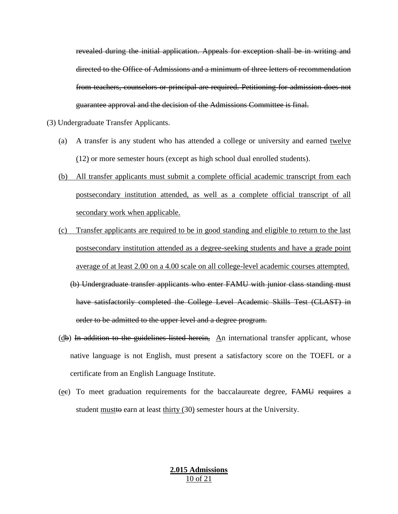revealed during the initial application. Appeals for exception shall be in writing and directed to the Office of Admissions and a minimum of three letters of recommendation from teachers, counselors or principal are required. Petitioning for admission does not guarantee approval and the decision of the Admissions Committee is final.

- (3) Undergraduate Transfer Applicants.
	- (a) A transfer is any student who has attended a college or university and earned twelve (12) or more semester hours (except as high school dual enrolled students).
	- (b) All transfer applicants must submit a complete official academic transcript from each postsecondary institution attended, as well as a complete official transcript of all secondary work when applicable.
	- (c) Transfer applicants are required to be in good standing and eligible to return to the last postsecondary institution attended as a degree-seeking students and have a grade point average of at least 2.00 on a 4.00 scale on all college-level academic courses attempted.
		- (b) Undergraduate transfer applicants who enter FAMU with junior class standing must have satisfactorily completed the College Level Academic Skills Test (CLAST) in order to be admitted to the upper level and a degree program.
	- (db) In addition to the guidelines listed herein, An international transfer applicant, whose native language is not English, must present a satisfactory score on the TOEFL or a certificate from an English Language Institute.
	- $(ee)$  To meet graduation requirements for the baccalaureate degree,  $FAMU$  requires a student must to earn at least thirty  $(30)$  semester hours at the University.

## **2.015 Admissions** 10 of 21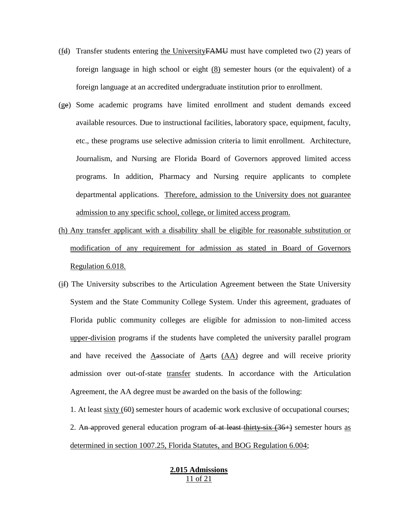- (fd) Transfer students entering the University  $FAMU$  must have completed two (2) years of foreign language in high school or eight (8) semester hours (or the equivalent) of a foreign language at an accredited undergraduate institution prior to enrollment.
- (ge) Some academic programs have limited enrollment and student demands exceed available resources. Due to instructional facilities, laboratory space, equipment, faculty, etc., these programs use selective admission criteria to limit enrollment. Architecture, Journalism, and Nursing are Florida Board of Governors approved limited access programs. In addition, Pharmacy and Nursing require applicants to complete departmental applications. Therefore, admission to the University does not guarantee admission to any specific school, college, or limited access program.
- (h) Any transfer applicant with a disability shall be eligible for reasonable substitution or modification of any requirement for admission as stated in Board of Governors Regulation 6.018.
- (if) The University subscribes to the Articulation Agreement between the State University System and the State Community College System. Under this agreement, graduates of Florida public community colleges are eligible for admission to non-limited access upper-division programs if the students have completed the university parallel program and have received the Aassociate of Aarts (AA) degree and will receive priority admission over out-of-state transfer students. In accordance with the Articulation Agreement, the AA degree must be awarded on the basis of the following:
	- 1. At least sixty (60) semester hours of academic work exclusive of occupational courses; 2. An approved general education program of at least thirty-six  $(36+)$  semester hours as determined in section 1007.25, Florida Statutes, and BOG Regulation 6.004;

### **2.015 Admissions** 11 of 21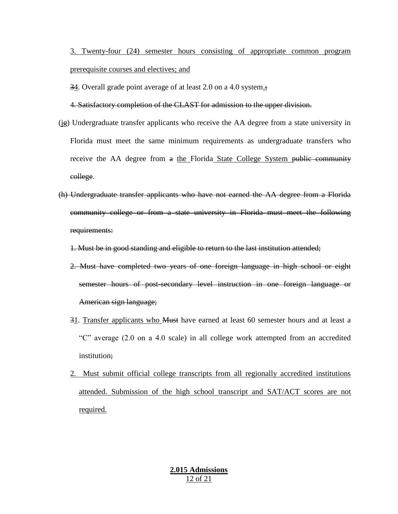3. Twenty-four (24) semester hours consisting of appropriate common program prerequisite courses and electives; and

34. Overall grade point average of at least 2.0 on a 4.0 system.;

4. Satisfactory completion of the CLAST for admission to the upper division.

- (jg) Undergraduate transfer applicants who receive the AA degree from a state university in Florida must meet the same minimum requirements as undergraduate transfers who receive the AA degree from a the Florida State College System public community college.
- (h) Undergraduate transfer applicants who have not earned the AA degree from a Florida community college or from a state university in Florida must meet the following requirements:

1. Must be in good standing and eligible to return to the last institution attended;

- 2. Must have completed two years of one foreign language in high school or eight semester hours of post-secondary level instruction in one foreign language or American sign language;
- 31. Transfer applicants who Must have earned at least 60 semester hours and at least a "C" average (2.0 on a 4.0 scale) in all college work attempted from an accredited institution;
- 2. Must submit official college transcripts from all regionally accredited institutions attended. Submission of the high school transcript and SAT/ACT scores are not required.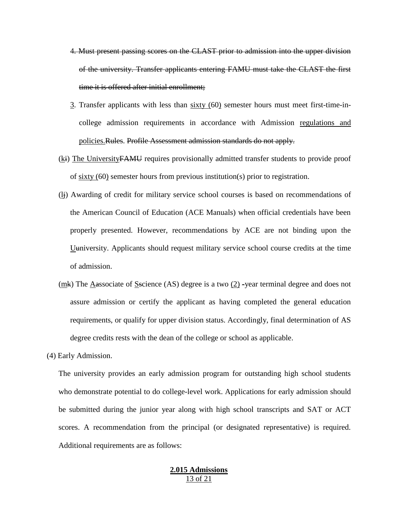- 4. Must present passing scores on the CLAST prior to admission into the upper division of the university. Transfer applicants entering FAMU must take the CLAST the first time it is offered after initial enrollment;
- 3. Transfer applicants with less than sixty (60) semester hours must meet first-time-incollege admission requirements in accordance with Admission regulations and policies.Rules. Profile Assessment admission standards do not apply.
- (ki) The University FAMU requires provisionally admitted transfer students to provide proof of sixty (60) semester hours from previous institution(s) prior to registration.
- (lj) Awarding of credit for military service school courses is based on recommendations of the American Council of Education (ACE Manuals) when official credentials have been properly presented. However, recommendations by ACE are not binding upon the Uuniversity. Applicants should request military service school course credits at the time of admission.
- $(mk)$  The Aassociate of Sscience (AS) degree is a two  $(2)$  -year terminal degree and does not assure admission or certify the applicant as having completed the general education requirements, or qualify for upper division status. Accordingly, final determination of AS degree credits rests with the dean of the college or school as applicable.
- (4) Early Admission.

The university provides an early admission program for outstanding high school students who demonstrate potential to do college-level work. Applications for early admission should be submitted during the junior year along with high school transcripts and SAT or ACT scores. A recommendation from the principal (or designated representative) is required. Additional requirements are as follows:

#### **2.015 Admissions** 13 of 21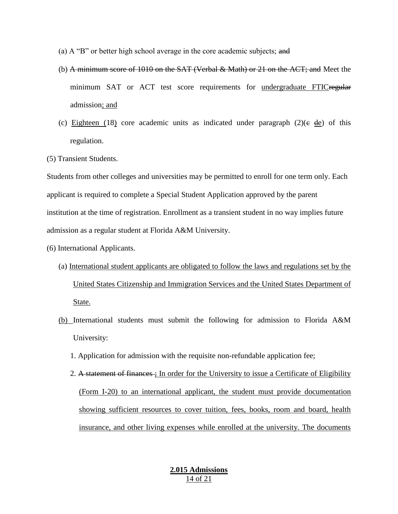- (a) A "B" or better high school average in the core academic subjects; and
- (b) A minimum score of 1010 on the SAT (Verbal & Math) or 21 on the ACT; and Meet the minimum SAT or ACT test score requirements for undergraduate FTICregular admission; and
- (c) Eighteen (18) core academic units as indicated under paragraph  $(2)(\epsilon \ \text{de})$  of this regulation.
- (5) Transient Students.

Students from other colleges and universities may be permitted to enroll for one term only. Each applicant is required to complete a Special Student Application approved by the parent institution at the time of registration. Enrollment as a transient student in no way implies future admission as a regular student at Florida A&M University.

- (6) International Applicants.
	- (a) International student applicants are obligated to follow the laws and regulations set by the United States Citizenship and Immigration Services and the United States Department of State.
	- (b) International students must submit the following for admission to Florida A&M University:
		- 1. Application for admission with the requisite non-refundable application fee;
		- 2. A statement of finances : In order for the University to issue a Certificate of Eligibility (Form I-20) to an international applicant, the student must provide documentation showing sufficient resources to cover tuition, fees, books, room and board, health insurance, and other living expenses while enrolled at the university. The documents

### **2.015 Admissions** 14 of 21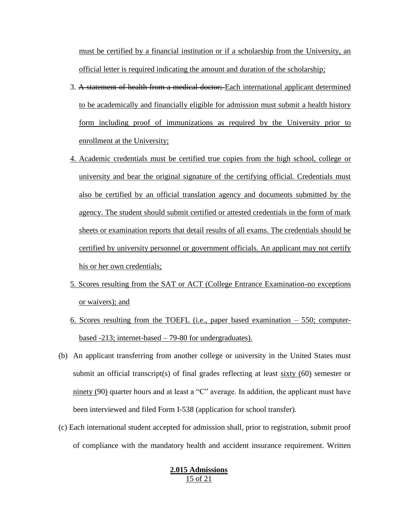must be certified by a financial institution or if a scholarship from the University, an official letter is required indicating the amount and duration of the scholarship;

- 3. A statement of health from a medical doctor; Each international applicant determined to be academically and financially eligible for admission must submit a health history form including proof of immunizations as required by the University prior to enrollment at the University;
- 4. Academic credentials must be certified true copies from the high school, college or university and bear the original signature of the certifying official. Credentials must also be certified by an official translation agency and documents submitted by the agency. The student should submit certified or attested credentials in the form of mark sheets or examination reports that detail results of all exams. The credentials should be certified by university personnel or government officials. An applicant may not certify his or her own credentials;
- 5. Scores resulting from the SAT or ACT (College Entrance Examination-no exceptions or waivers); and
- 6. Scores resulting from the TOEFL (i.e., paper based examination 550; computerbased -213; internet-based – 79-80 for undergraduates).
- (b) An applicant transferring from another college or university in the United States must submit an official transcript(s) of final grades reflecting at least <u>sixty</u> (60) semester or ninety (90) quarter hours and at least a "C" average. In addition, the applicant must have been interviewed and filed Form I-538 (application for school transfer).
- (c) Each international student accepted for admission shall, prior to registration, submit proof of compliance with the mandatory health and accident insurance requirement. Written

### **2.015 Admissions** 15 of 21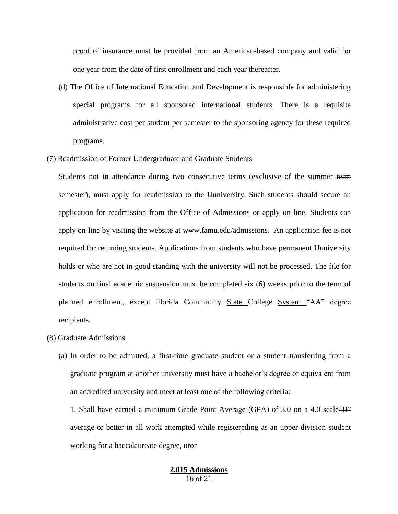proof of insurance must be provided from an American-based company and valid for one year from the date of first enrollment and each year thereafter.

- (d) The Office of International Education and Development is responsible for administering special programs for all sponsored international students. There is a requisite administrative cost per student per semester to the sponsoring agency for these required programs.
- (7) Readmission of Former Undergraduate and Graduate Students

Students not in attendance during two consecutive terms (exclusive of the summer term semester), must apply for readmission to the Uuniversity. Such students should secure an application for readmission from the Office of Admissions or apply on-line. Students can apply on-line by visiting the website at www.famu.edu/admissions. An application fee is not required for returning students. Applications from students who have permanent Uuniversity holds or who are not in good standing with the university will not be processed. The file for students on final academic suspension must be completed six (6) weeks prior to the term of planned enrollment, except Florida Community State College System "AA" degree recipients.

- (8) Graduate Admissions
	- (a) In order to be admitted, a first-time graduate student or a student transferring from a graduate program at another university must have a bachelor's degree or equivalent from an accredited university and meet at least one of the following criteria:

1. Shall have earned a minimum Grade Point Average (GPA) of 3.0 on a 4.0 scale  $B^2$ average or better in all work attempted while registereding as an upper division student working for a baccalaureate degree, oror

#### **2.015 Admissions** 16 of 21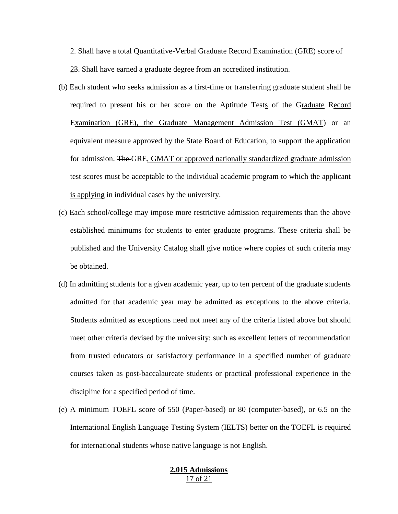2. Shall have a total Quantitative-Verbal Graduate Record Examination (GRE) score of 23. Shall have earned a graduate degree from an accredited institution.

- (b) Each student who seeks admission as a first-time or transferring graduate student shall be required to present his or her score on the Aptitude Tests of the Graduate Record Examination (GRE), the Graduate Management Admission Test (GMAT) or an equivalent measure approved by the State Board of Education, to support the application for admission. The GRE, GMAT or approved nationally standardized graduate admission test scores must be acceptable to the individual academic program to which the applicant is applying in individual cases by the university.
- (c) Each school/college may impose more restrictive admission requirements than the above established minimums for students to enter graduate programs. These criteria shall be published and the University Catalog shall give notice where copies of such criteria may be obtained.
- (d) In admitting students for a given academic year, up to ten percent of the graduate students admitted for that academic year may be admitted as exceptions to the above criteria. Students admitted as exceptions need not meet any of the criteria listed above but should meet other criteria devised by the university: such as excellent letters of recommendation from trusted educators or satisfactory performance in a specified number of graduate courses taken as post-baccalaureate students or practical professional experience in the discipline for a specified period of time.
- (e) A minimum TOEFL score of 550 (Paper-based) or 80 (computer-based), or 6.5 on the International English Language Testing System (IELTS) better on the TOEFL is required for international students whose native language is not English.

## **2.015 Admissions** 17 of 21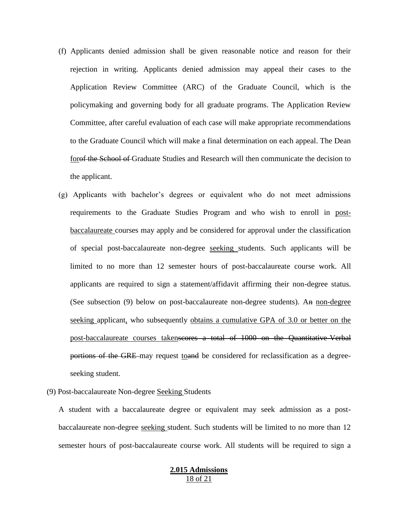- (f) Applicants denied admission shall be given reasonable notice and reason for their rejection in writing. Applicants denied admission may appeal their cases to the Application Review Committee (ARC) of the Graduate Council, which is the policymaking and governing body for all graduate programs. The Application Review Committee, after careful evaluation of each case will make appropriate recommendations to the Graduate Council which will make a final determination on each appeal. The Dean forof the School of Graduate Studies and Research will then communicate the decision to the applicant.
- (g) Applicants with bachelor's degrees or equivalent who do not meet admissions requirements to the Graduate Studies Program and who wish to enroll in postbaccalaureate courses may apply and be considered for approval under the classification of special post-baccalaureate non-degree seeking students. Such applicants will be limited to no more than 12 semester hours of post-baccalaureate course work. All applicants are required to sign a statement/affidavit affirming their non-degree status. (See subsection (9) below on post-baccalaureate non-degree students). An non-degree seeking applicant, who subsequently obtains a cumulative GPA of 3.0 or better on the post-baccalaureate courses takenscores a total of 1000 on the Quantitative-Verbal portions of the GRE may request toand be considered for reclassification as a degreeseeking student.
- (9) Post-baccalaureate Non-degree Seeking Students

A student with a baccalaureate degree or equivalent may seek admission as a postbaccalaureate non-degree seeking student. Such students will be limited to no more than 12 semester hours of post-baccalaureate course work. All students will be required to sign a

### **2.015 Admissions** 18 of 21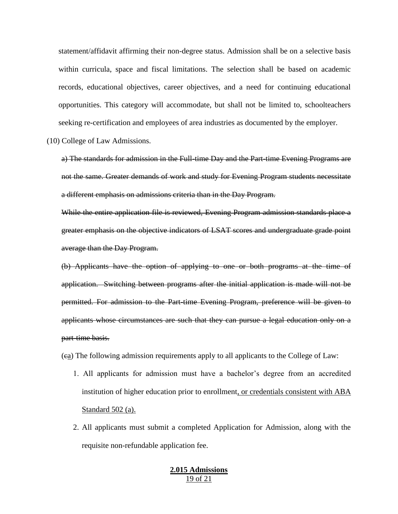statement/affidavit affirming their non-degree status. Admission shall be on a selective basis within curricula, space and fiscal limitations. The selection shall be based on academic records, educational objectives, career objectives, and a need for continuing educational opportunities. This category will accommodate, but shall not be limited to, schoolteachers seeking re-certification and employees of area industries as documented by the employer.

(10) College of Law Admissions.

a) The standards for admission in the Full-time Day and the Part-time Evening Programs are not the same. Greater demands of work and study for Evening Program students necessitate a different emphasis on admissions criteria than in the Day Program.

While the entire application file is reviewed, Evening Program admission standards place a greater emphasis on the objective indicators of LSAT scores and undergraduate grade point average than the Day Program.

(b) Applicants have the option of applying to one or both programs at the time of application. Switching between programs after the initial application is made will not be permitted. For admission to the Part-time Evening Program, preference will be given to applicants whose circumstances are such that they can pursue a legal education only on a part-time basis.

(ca) The following admission requirements apply to all applicants to the College of Law:

- 1. All applicants for admission must have a bachelor's degree from an accredited institution of higher education prior to enrollment, or credentials consistent with ABA Standard 502 (a).
- 2. All applicants must submit a completed Application for Admission, along with the requisite non-refundable application fee.

### **2.015 Admissions** 19 of 21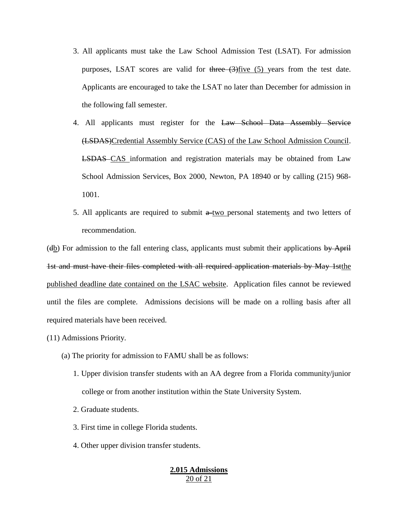- 3. All applicants must take the Law School Admission Test (LSAT). For admission purposes, LSAT scores are valid for  $\frac{1}{2}$  five (5) years from the test date. Applicants are encouraged to take the LSAT no later than December for admission in the following fall semester.
- 4. All applicants must register for the Law School Data Assembly Service (LSDAS)Credential Assembly Service (CAS) of the Law School Admission Council. LSDAS CAS information and registration materials may be obtained from Law School Admission Services, Box 2000, Newton, PA 18940 or by calling (215) 968- 1001.
- 5. All applicants are required to submit  $a$ -two personal statements and two letters of recommendation.

(db) For admission to the fall entering class, applicants must submit their applications by April 1st and must have their files completed with all required application materials by May 1stthe published deadline date contained on the LSAC website. Application files cannot be reviewed until the files are complete. Admissions decisions will be made on a rolling basis after all required materials have been received.

- (11) Admissions Priority.
	- (a) The priority for admission to FAMU shall be as follows:
		- 1. Upper division transfer students with an AA degree from a Florida community/junior college or from another institution within the State University System.
		- 2. Graduate students.
		- 3. First time in college Florida students.
		- 4. Other upper division transfer students.

#### **2.015 Admissions** 20 of 21